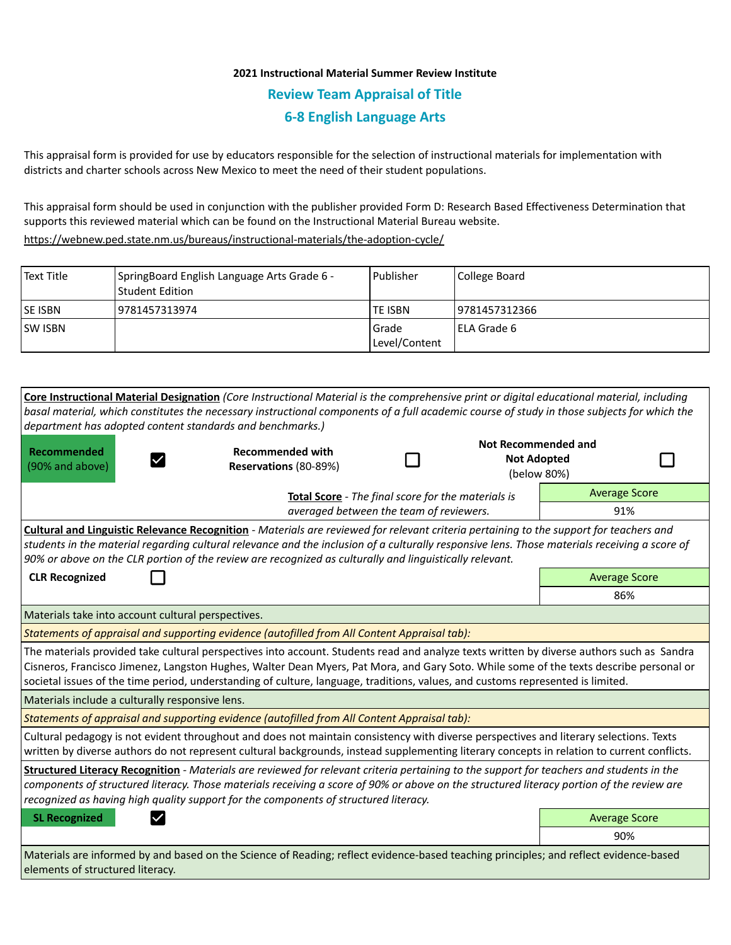## **2021 Instructional Material Summer Review Institute Review Team Appraisal of Title 6-8 English Language Arts**

This appraisal form is provided for use by educators responsible for the selection of instructional materials for implementation with districts and charter schools across New Mexico to meet the need of their student populations.

This appraisal form should be used in conjunction with the publisher provided Form D: Research Based Effectiveness Determination that supports this reviewed material which can be found on the Instructional Material Bureau website.

<https://webnew.ped.state.nm.us/bureaus/instructional-materials/the-adoption-cycle/>

| Text Title     | SpringBoard English Language Arts Grade 6 -<br>  Student Edition | l Publisher              | College Board       |
|----------------|------------------------------------------------------------------|--------------------------|---------------------|
| <b>SE ISBN</b> | 9781457313974                                                    | TE ISBN                  | 19781457312366      |
| <b>SW ISBN</b> |                                                                  | l Grade<br>Level/Content | <b>IELA Grade 6</b> |

| Core Instructional Material Designation (Core Instructional Material is the comprehensive print or digital educational material, including<br>basal material, which constitutes the necessary instructional components of a full academic course of study in those subjects for which the<br>department has adopted content standards and benchmarks.)                                                                 |                                                    |  |                                                                 |                      |  |  |  |
|------------------------------------------------------------------------------------------------------------------------------------------------------------------------------------------------------------------------------------------------------------------------------------------------------------------------------------------------------------------------------------------------------------------------|----------------------------------------------------|--|-----------------------------------------------------------------|----------------------|--|--|--|
| Recommended<br>(90% and above)                                                                                                                                                                                                                                                                                                                                                                                         | <b>Recommended with</b><br>Reservations (80-89%)   |  | <b>Not Recommended and</b><br><b>Not Adopted</b><br>(below 80%) |                      |  |  |  |
|                                                                                                                                                                                                                                                                                                                                                                                                                        | Total Score - The final score for the materials is |  |                                                                 | <b>Average Score</b> |  |  |  |
| averaged between the team of reviewers.                                                                                                                                                                                                                                                                                                                                                                                |                                                    |  |                                                                 | 91%                  |  |  |  |
| <b>Cultural and Linguistic Relevance Recognition</b> - Materials are reviewed for relevant criteria pertaining to the support for teachers and<br>students in the material regarding cultural relevance and the inclusion of a culturally responsive lens. Those materials receiving a score of<br>90% or above on the CLR portion of the review are recognized as culturally and linguistically relevant.             |                                                    |  |                                                                 |                      |  |  |  |
| <b>CLR Recognized</b>                                                                                                                                                                                                                                                                                                                                                                                                  |                                                    |  |                                                                 | <b>Average Score</b> |  |  |  |
|                                                                                                                                                                                                                                                                                                                                                                                                                        |                                                    |  |                                                                 | 86%                  |  |  |  |
| Materials take into account cultural perspectives.                                                                                                                                                                                                                                                                                                                                                                     |                                                    |  |                                                                 |                      |  |  |  |
| Statements of appraisal and supporting evidence (autofilled from All Content Appraisal tab):                                                                                                                                                                                                                                                                                                                           |                                                    |  |                                                                 |                      |  |  |  |
| The materials provided take cultural perspectives into account. Students read and analyze texts written by diverse authors such as Sandra<br>Cisneros, Francisco Jimenez, Langston Hughes, Walter Dean Myers, Pat Mora, and Gary Soto. While some of the texts describe personal or<br>societal issues of the time period, understanding of culture, language, traditions, values, and customs represented is limited. |                                                    |  |                                                                 |                      |  |  |  |
| Materials include a culturally responsive lens.                                                                                                                                                                                                                                                                                                                                                                        |                                                    |  |                                                                 |                      |  |  |  |
| Statements of appraisal and supporting evidence (autofilled from All Content Appraisal tab):                                                                                                                                                                                                                                                                                                                           |                                                    |  |                                                                 |                      |  |  |  |
| Cultural pedagogy is not evident throughout and does not maintain consistency with diverse perspectives and literary selections. Texts<br>written by diverse authors do not represent cultural backgrounds, instead supplementing literary concepts in relation to current conflicts.                                                                                                                                  |                                                    |  |                                                                 |                      |  |  |  |
| Structured Literacy Recognition - Materials are reviewed for relevant criteria pertaining to the support for teachers and students in the<br>components of structured literacy. Those materials receiving a score of 90% or above on the structured literacy portion of the review are<br>recognized as having high quality support for the components of structured literacy.                                         |                                                    |  |                                                                 |                      |  |  |  |
| <b>SL Recognized</b>                                                                                                                                                                                                                                                                                                                                                                                                   | <b>Average Score</b>                               |  |                                                                 |                      |  |  |  |
|                                                                                                                                                                                                                                                                                                                                                                                                                        |                                                    |  |                                                                 | 90%                  |  |  |  |
| Materials are informed by and based on the Science of Reading; reflect evidence-based teaching principles; and reflect evidence-based<br>elements of structured literacy.                                                                                                                                                                                                                                              |                                                    |  |                                                                 |                      |  |  |  |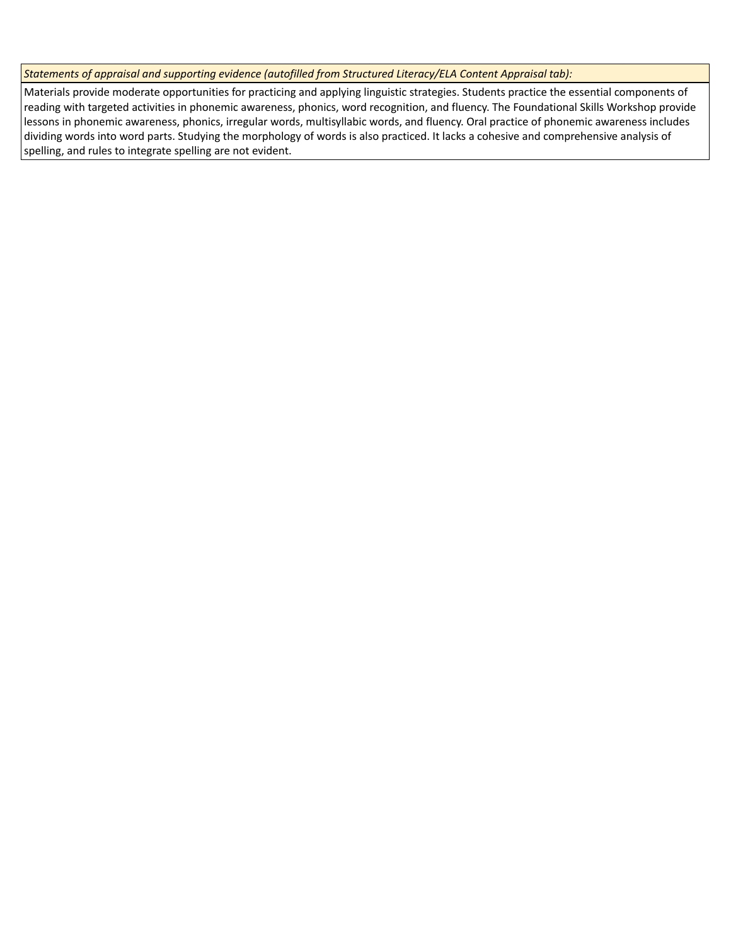*Statements of appraisal and supporting evidence (autofilled from Structured Literacy/ELA Content Appraisal tab):* 

Materials provide moderate opportunities for practicing and applying linguistic strategies. Students practice the essential components of reading with targeted activities in phonemic awareness, phonics, word recognition, and fluency. The Foundational Skills Workshop provide lessons in phonemic awareness, phonics, irregular words, multisyllabic words, and fluency. Oral practice of phonemic awareness includes dividing words into word parts. Studying the morphology of words is also practiced. It lacks a cohesive and comprehensive analysis of spelling, and rules to integrate spelling are not evident.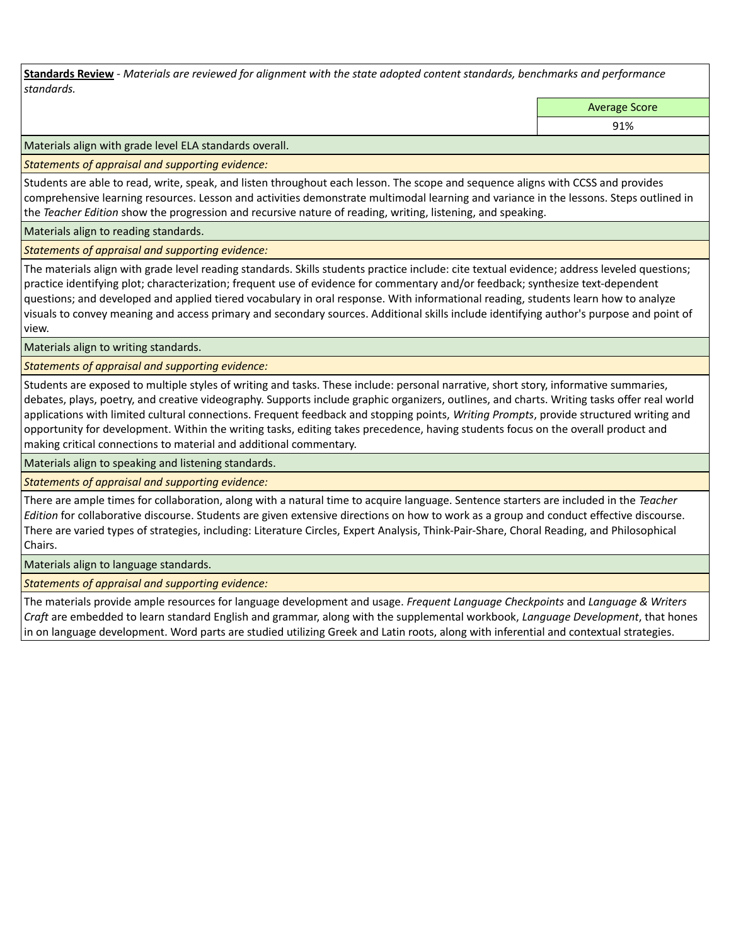**Standards Review** *- Materials are reviewed for alignment with the state adopted content standards, benchmarks and performance standards.*

Average Score

91%

Materials align with grade level ELA standards overall.

*Statements of appraisal and supporting evidence:* 

Students are able to read, write, speak, and listen throughout each lesson. The scope and sequence aligns with CCSS and provides comprehensive learning resources. Lesson and activities demonstrate multimodal learning and variance in the lessons. Steps outlined in the *Teacher Edition* show the progression and recursive nature of reading, writing, listening, and speaking.

Materials align to reading standards.

*Statements of appraisal and supporting evidence:* 

The materials align with grade level reading standards. Skills students practice include: cite textual evidence; address leveled questions; practice identifying plot; characterization; frequent use of evidence for commentary and/or feedback; synthesize text-dependent questions; and developed and applied tiered vocabulary in oral response. With informational reading, students learn how to analyze visuals to convey meaning and access primary and secondary sources. Additional skills include identifying author's purpose and point of view.

Materials align to writing standards.

*Statements of appraisal and supporting evidence:* 

Students are exposed to multiple styles of writing and tasks. These include: personal narrative, short story, informative summaries, debates, plays, poetry, and creative videography. Supports include graphic organizers, outlines, and charts. Writing tasks offer real world applications with limited cultural connections. Frequent feedback and stopping points, *Writing Prompts*, provide structured writing and opportunity for development. Within the writing tasks, editing takes precedence, having students focus on the overall product and making critical connections to material and additional commentary.

Materials align to speaking and listening standards.

*Statements of appraisal and supporting evidence:* 

There are ample times for collaboration, along with a natural time to acquire language. Sentence starters are included in the *Teacher Edition* for collaborative discourse. Students are given extensive directions on how to work as a group and conduct effective discourse. There are varied types of strategies, including: Literature Circles, Expert Analysis, Think-Pair-Share, Choral Reading, and Philosophical Chairs.

Materials align to language standards.

*Statements of appraisal and supporting evidence:* 

The materials provide ample resources for language development and usage. *Frequent Language Checkpoints* and *Language & Writers Craft* are embedded to learn standard English and grammar, along with the supplemental workbook, *Language Development*, that hones in on language development. Word parts are studied utilizing Greek and Latin roots, along with inferential and contextual strategies.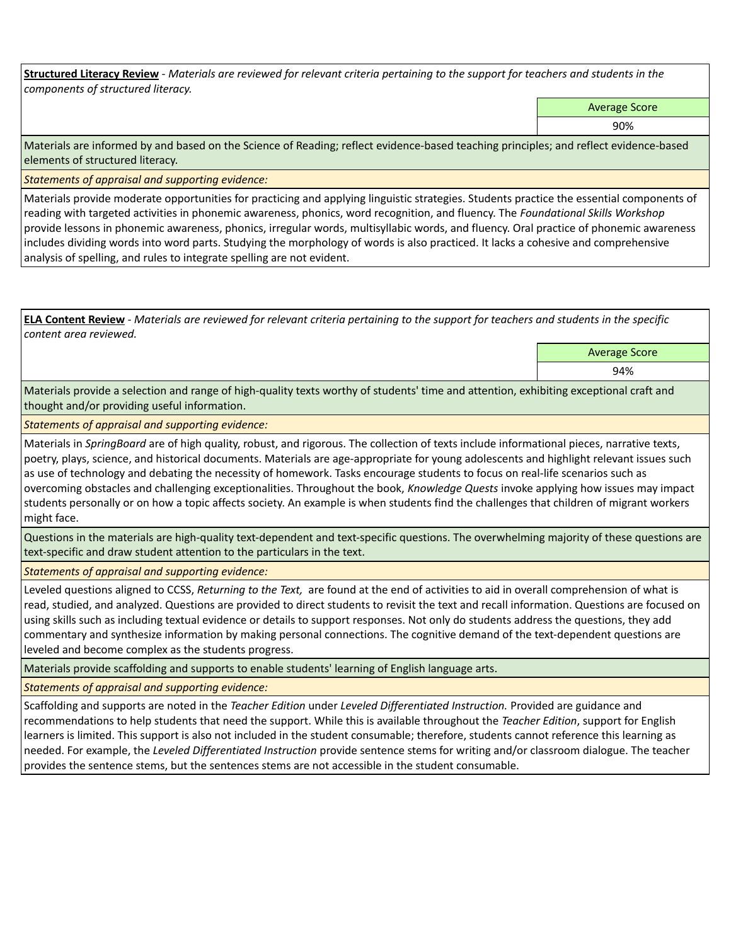**Structured Literacy Review** *- Materials are reviewed for relevant criteria pertaining to the support for teachers and students in the components of structured literacy.*

Average Score

90%

Materials are informed by and based on the Science of Reading; reflect evidence-based teaching principles; and reflect evidence-based elements of structured literacy.

*Statements of appraisal and supporting evidence:*

Materials provide moderate opportunities for practicing and applying linguistic strategies. Students practice the essential components of reading with targeted activities in phonemic awareness, phonics, word recognition, and fluency. The *Foundational Skills Workshop* provide lessons in phonemic awareness, phonics, irregular words, multisyllabic words, and fluency. Oral practice of phonemic awareness includes dividing words into word parts. Studying the morphology of words is also practiced. It lacks a cohesive and comprehensive analysis of spelling, and rules to integrate spelling are not evident.

**ELA Content Review** *- Materials are reviewed for relevant criteria pertaining to the support for teachers and students in the specific content area reviewed.*

> Average Score 94%

Materials provide a selection and range of high-quality texts worthy of students' time and attention, exhibiting exceptional craft and thought and/or providing useful information.

*Statements of appraisal and supporting evidence:* 

Materials in *SpringBoard* are of high quality, robust, and rigorous. The collection of texts include informational pieces, narrative texts, poetry, plays, science, and historical documents. Materials are age-appropriate for young adolescents and highlight relevant issues such as use of technology and debating the necessity of homework. Tasks encourage students to focus on real-life scenarios such as overcoming obstacles and challenging exceptionalities. Throughout the book, *Knowledge Quests* invoke applying how issues may impact students personally or on how a topic affects society. An example is when students find the challenges that children of migrant workers might face.

Questions in the materials are high-quality text-dependent and text-specific questions. The overwhelming majority of these questions are text-specific and draw student attention to the particulars in the text.

*Statements of appraisal and supporting evidence:* 

Leveled questions aligned to CCSS, *Returning to the Text,* are found at the end of activities to aid in overall comprehension of what is read, studied, and analyzed. Questions are provided to direct students to revisit the text and recall information. Questions are focused on using skills such as including textual evidence or details to support responses. Not only do students address the questions, they add commentary and synthesize information by making personal connections. The cognitive demand of the text-dependent questions are leveled and become complex as the students progress.

Materials provide scaffolding and supports to enable students' learning of English language arts.

*Statements of appraisal and supporting evidence:* 

Scaffolding and supports are noted in the *Teacher Edition* under *Leveled Differentiated Instruction.* Provided are guidance and recommendations to help students that need the support. While this is available throughout the *Teacher Edition*, support for English learners is limited. This support is also not included in the student consumable; therefore, students cannot reference this learning as needed. For example, the *Leveled Differentiated Instruction* provide sentence stems for writing and/or classroom dialogue. The teacher provides the sentence stems, but the sentences stems are not accessible in the student consumable.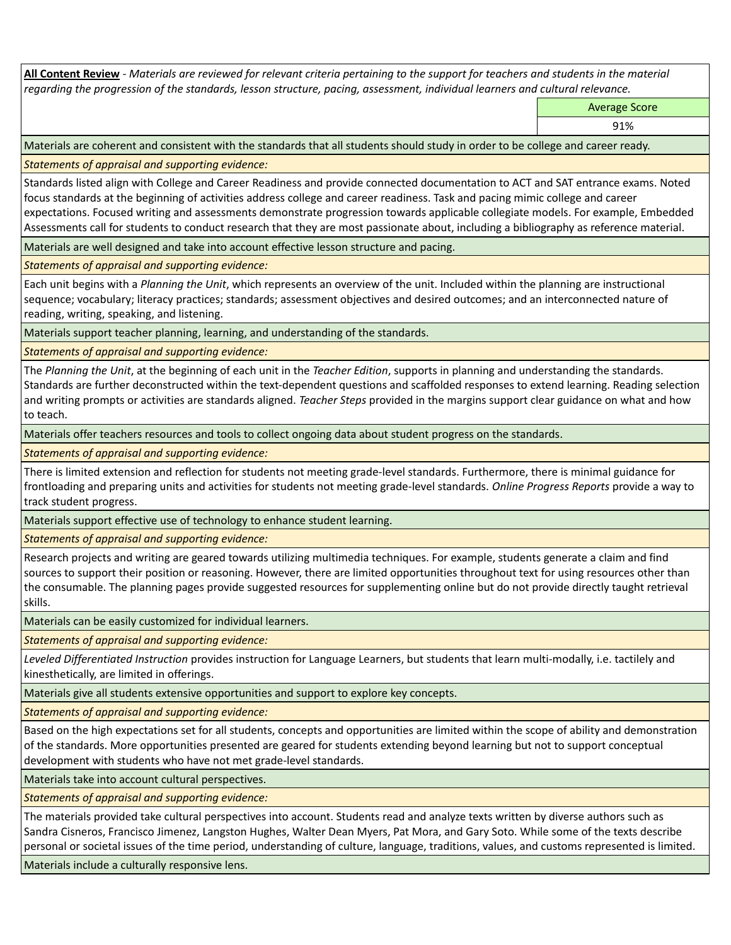**All Content Review** *- Materials are reviewed for relevant criteria pertaining to the support for teachers and students in the material regarding the progression of the standards, lesson structure, pacing, assessment, individual learners and cultural relevance.*

Average Score

91%

Materials are coherent and consistent with the standards that all students should study in order to be college and career ready.

*Statements of appraisal and supporting evidence:*

Standards listed align with College and Career Readiness and provide connected documentation to ACT and SAT entrance exams. Noted focus standards at the beginning of activities address college and career readiness. Task and pacing mimic college and career expectations. Focused writing and assessments demonstrate progression towards applicable collegiate models. For example, Embedded Assessments call for students to conduct research that they are most passionate about, including a bibliography as reference material.

Materials are well designed and take into account effective lesson structure and pacing.

*Statements of appraisal and supporting evidence:*

Each unit begins with a *Planning the Unit*, which represents an overview of the unit. Included within the planning are instructional sequence; vocabulary; literacy practices; standards; assessment objectives and desired outcomes; and an interconnected nature of reading, writing, speaking, and listening.

Materials support teacher planning, learning, and understanding of the standards.

*Statements of appraisal and supporting evidence:*

The *Planning the Unit*, at the beginning of each unit in the *Teacher Edition*, supports in planning and understanding the standards. Standards are further deconstructed within the text-dependent questions and scaffolded responses to extend learning. Reading selection and writing prompts or activities are standards aligned. *Teacher Steps* provided in the margins support clear guidance on what and how to teach.

Materials offer teachers resources and tools to collect ongoing data about student progress on the standards.

*Statements of appraisal and supporting evidence:*

There is limited extension and reflection for students not meeting grade-level standards. Furthermore, there is minimal guidance for frontloading and preparing units and activities for students not meeting grade-level standards. *Online Progress Reports* provide a way to track student progress.

Materials support effective use of technology to enhance student learning.

*Statements of appraisal and supporting evidence:*

Research projects and writing are geared towards utilizing multimedia techniques. For example, students generate a claim and find sources to support their position or reasoning. However, there are limited opportunities throughout text for using resources other than the consumable. The planning pages provide suggested resources for supplementing online but do not provide directly taught retrieval skills.

Materials can be easily customized for individual learners.

*Statements of appraisal and supporting evidence:* 

*Leveled Differentiated Instruction* provides instruction for Language Learners, but students that learn multi-modally, i.e. tactilely and kinesthetically, are limited in offerings.

Materials give all students extensive opportunities and support to explore key concepts.

*Statements of appraisal and supporting evidence:*

Based on the high expectations set for all students, concepts and opportunities are limited within the scope of ability and demonstration of the standards. More opportunities presented are geared for students extending beyond learning but not to support conceptual development with students who have not met grade-level standards.

Materials take into account cultural perspectives.

*Statements of appraisal and supporting evidence:*

The materials provided take cultural perspectives into account. Students read and analyze texts written by diverse authors such as Sandra Cisneros, Francisco Jimenez, Langston Hughes, Walter Dean Myers, Pat Mora, and Gary Soto. While some of the texts describe personal or societal issues of the time period, understanding of culture, language, traditions, values, and customs represented is limited.

Materials include a culturally responsive lens.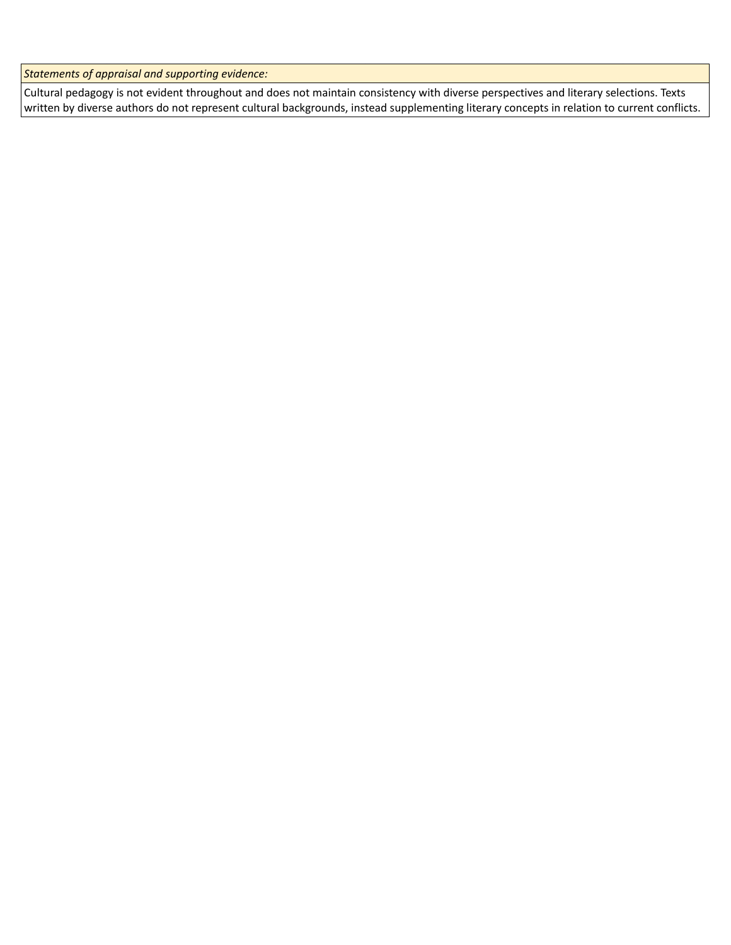*Statements of appraisal and supporting evidence:*

Cultural pedagogy is not evident throughout and does not maintain consistency with diverse perspectives and literary selections. Texts written by diverse authors do not represent cultural backgrounds, instead supplementing literary concepts in relation to current conflicts.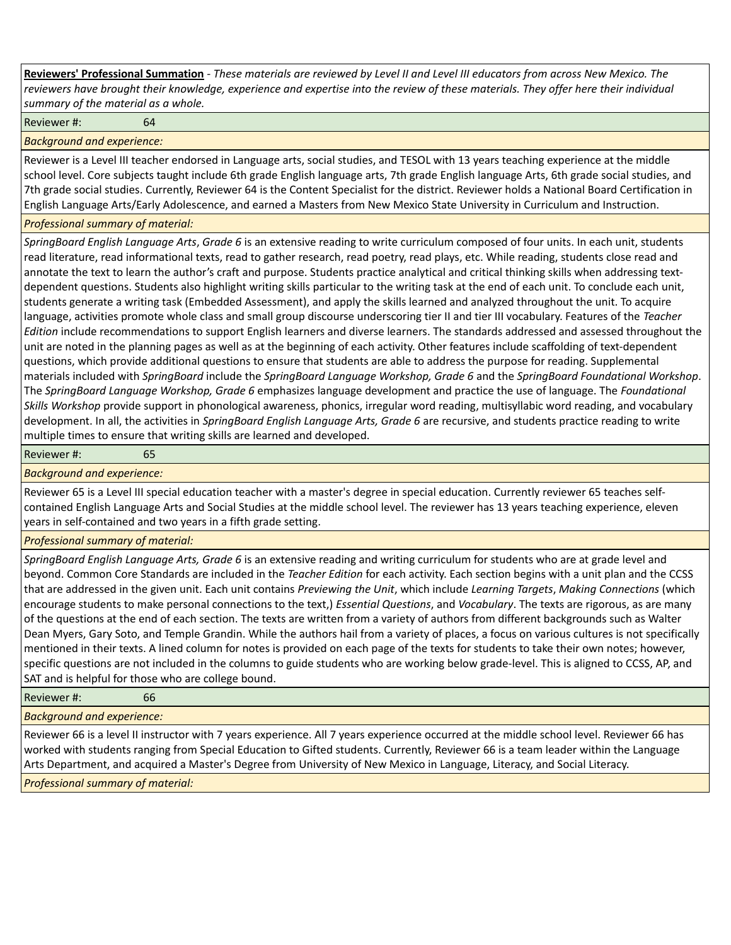**Reviewers' Professional Summation** *- These materials are reviewed by Level II and Level III educators from across New Mexico. The reviewers have brought their knowledge, experience and expertise into the review of these materials. They offer here their individual summary of the material as a whole.*

Reviewer #: 64

*Background and experience:*

Reviewer is a Level III teacher endorsed in Language arts, social studies, and TESOL with 13 years teaching experience at the middle school level. Core subjects taught include 6th grade English language arts, 7th grade English language Arts, 6th grade social studies, and 7th grade social studies. Currently, Reviewer 64 is the Content Specialist for the district. Reviewer holds a National Board Certification in English Language Arts/Early Adolescence, and earned a Masters from New Mexico State University in Curriculum and Instruction.

## *Professional summary of material:*

*SpringBoard English Language Arts*, *Grade 6* is an extensive reading to write curriculum composed of four units. In each unit, students read literature, read informational texts, read to gather research, read poetry, read plays, etc. While reading, students close read and annotate the text to learn the author's craft and purpose. Students practice analytical and critical thinking skills when addressing textdependent questions. Students also highlight writing skills particular to the writing task at the end of each unit. To conclude each unit, students generate a writing task (Embedded Assessment), and apply the skills learned and analyzed throughout the unit. To acquire language, activities promote whole class and small group discourse underscoring tier II and tier III vocabulary. Features of the *Teacher Edition* include recommendations to support English learners and diverse learners. The standards addressed and assessed throughout the unit are noted in the planning pages as well as at the beginning of each activity. Other features include scaffolding of text-dependent questions, which provide additional questions to ensure that students are able to address the purpose for reading. Supplemental materials included with *SpringBoard* include the *SpringBoard Language Workshop, Grade 6* and the *SpringBoard Foundational Workshop*. The *SpringBoard Language Workshop, Grade 6* emphasizes language development and practice the use of language. The *Foundational Skills Workshop* provide support in phonological awareness, phonics, irregular word reading, multisyllabic word reading, and vocabulary development. In all, the activities in *SpringBoard English Language Arts, Grade 6* are recursive, and students practice reading to write multiple times to ensure that writing skills are learned and developed.

Reviewer #: 65

## *Background and experience:*

Reviewer 65 is a Level III special education teacher with a master's degree in special education. Currently reviewer 65 teaches selfcontained English Language Arts and Social Studies at the middle school level. The reviewer has 13 years teaching experience, eleven years in self-contained and two years in a fifth grade setting.

## *Professional summary of material:*

*SpringBoard English Language Arts, Grade 6* is an extensive reading and writing curriculum for students who are at grade level and beyond. Common Core Standards are included in the *Teacher Edition* for each activity. Each section begins with a unit plan and the CCSS that are addressed in the given unit. Each unit contains *Previewing the Unit*, which include *Learning Targets*, *Making Connections* (which encourage students to make personal connections to the text,) *Essential Questions*, and *Vocabulary*. The texts are rigorous, as are many of the questions at the end of each section. The texts are written from a variety of authors from different backgrounds such as Walter Dean Myers, Gary Soto, and Temple Grandin. While the authors hail from a variety of places, a focus on various cultures is not specifically mentioned in their texts. A lined column for notes is provided on each page of the texts for students to take their own notes; however, specific questions are not included in the columns to guide students who are working below grade-level. This is aligned to CCSS, AP, and SAT and is helpful for those who are college bound.

Reviewer #: 66

*Background and experience:*

Reviewer 66 is a level II instructor with 7 years experience. All 7 years experience occurred at the middle school level. Reviewer 66 has worked with students ranging from Special Education to Gifted students. Currently, Reviewer 66 is a team leader within the Language Arts Department, and acquired a Master's Degree from University of New Mexico in Language, Literacy, and Social Literacy.

*Professional summary of material:*